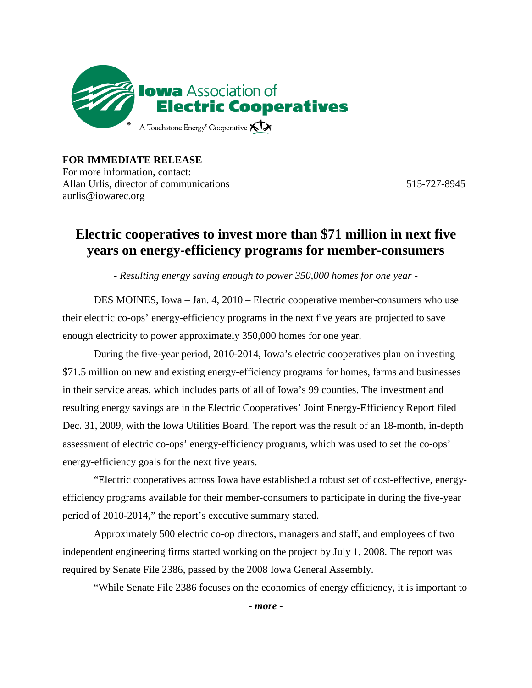

**FOR IMMEDIATE RELEASE** For more information, contact: Allan Urlis, director of communications 515-727-8945 aurlis@iowarec.org

## **Electric cooperatives to invest more than \$71 million in next five years on energy-efficiency programs for member-consumers**

*- Resulting energy saving enough to power 350,000 homes for one year -*

DES MOINES, Iowa – Jan. 4, 2010 – Electric cooperative member-consumers who use their electric co-ops' energy-efficiency programs in the next five years are projected to save enough electricity to power approximately 350,000 homes for one year.

During the five-year period, 2010-2014, Iowa's electric cooperatives plan on investing \$71.5 million on new and existing energy-efficiency programs for homes, farms and businesses in their service areas, which includes parts of all of Iowa's 99 counties. The investment and resulting energy savings are in the Electric Cooperatives' Joint Energy-Efficiency Report filed Dec. 31, 2009, with the Iowa Utilities Board. The report was the result of an 18-month, in-depth assessment of electric co-ops' energy-efficiency programs, which was used to set the co-ops' energy-efficiency goals for the next five years.

"Electric cooperatives across Iowa have established a robust set of cost-effective, energyefficiency programs available for their member-consumers to participate in during the five-year period of 2010-2014," the report's executive summary stated.

Approximately 500 electric co-op directors, managers and staff, and employees of two independent engineering firms started working on the project by July 1, 2008. The report was required by Senate File 2386, passed by the 2008 Iowa General Assembly.

"While Senate File 2386 focuses on the economics of energy efficiency, it is important to

*- more -*